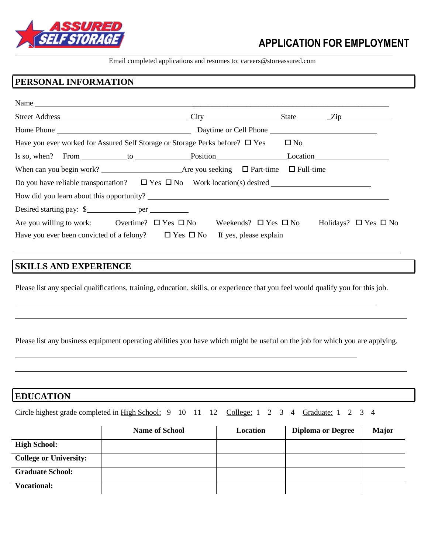

# **APPLICATION FOR EMPLOYMENT**

Email completed applications and resumes to: [careers@storeassured.com](mailto:careers@storeassured.com)

### **PERSONAL INFORMATION**

| Home Phone                                                                                                                      | Daytime or Cell Phone                                    |              |                                |
|---------------------------------------------------------------------------------------------------------------------------------|----------------------------------------------------------|--------------|--------------------------------|
| Have you ever worked for Assured Self Storage or Storage Perks before? $\square$ Yes                                            |                                                          | $\square$ No |                                |
| Is so, when? From to position Position Location Location                                                                        |                                                          |              |                                |
|                                                                                                                                 |                                                          |              |                                |
| Do you have reliable transportation? $\Box$ Yes $\Box$ No Work location(s) desired                                              |                                                          |              |                                |
|                                                                                                                                 |                                                          |              |                                |
|                                                                                                                                 |                                                          |              |                                |
| Are you willing to work: Overtime? $\Box$ Yes $\Box$ No<br>Have you ever been convicted of a felony? $\square$ Yes $\square$ No | Weekends? $\Box$ Yes $\Box$ No<br>If yes, please explain |              | Holidays? $\Box$ Yes $\Box$ No |

#### **SKILLS AND EXPERIENCE**

Please list any special qualifications, training, education, skills, or experience that you feel would qualify you for this job.

Please list any business equipment operating abilities you have which might be useful on the job for which you are applying.

#### **EDUCATION**

| Circle highest grade completed in High School: 9 10 11 12 College: 1 2 3 4 Graduate: 1 2 3 4 |  |  |  |  |  |  |  |  |  |  |  |  |  |  |
|----------------------------------------------------------------------------------------------|--|--|--|--|--|--|--|--|--|--|--|--|--|--|
|----------------------------------------------------------------------------------------------|--|--|--|--|--|--|--|--|--|--|--|--|--|--|

|                               | <b>Name of School</b> | Location | <b>Diploma or Degree</b> | <b>Major</b> |
|-------------------------------|-----------------------|----------|--------------------------|--------------|
| <b>High School:</b>           |                       |          |                          |              |
| <b>College or University:</b> |                       |          |                          |              |
| <b>Graduate School:</b>       |                       |          |                          |              |
| <b>Vocational:</b>            |                       |          |                          |              |